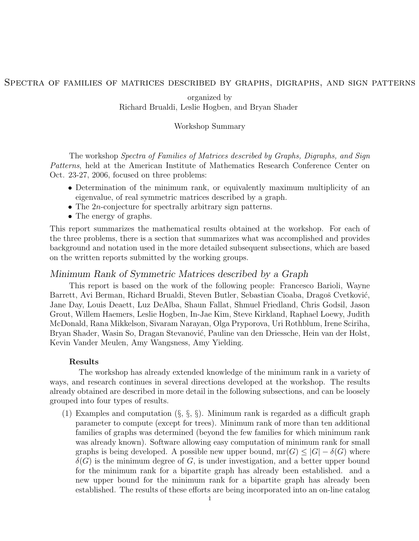# Spectra of families of matrices described by graphs, digraphs, and sign patterns

organized by Richard Brualdi, Leslie Hogben, and Bryan Shader

### Workshop Summary

The workshop Spectra of Families of Matrices described by Graphs, Digraphs, and Sign Patterns, held at the American Institute of Mathematics Research Conference Center on Oct. 23-27, 2006, focused on three problems:

- Determination of the minimum rank, or equivalently maximum multiplicity of an eigenvalue, of real symmetric matrices described by a graph.
- The 2*n*-conjecture for spectrally arbitrary sign patterns.
- The energy of graphs.

This report summarizes the mathematical results obtained at the workshop. For each of the three problems, there is a section that summarizes what was accomplished and provides background and notation used in the more detailed subsequent subsections, which are based on the written reports submitted by the working groups.

# Minimum Rank of Symmetric Matrices described by a Graph

This report is based on the work of the following people: Francesco Barioli, Wayne Barrett, Avi Berman, Richard Brualdi, Steven Butler, Sebastian Cioaba, Dragoš Cvetković, Jane Day, Louis Deaett, Luz DeAlba, Shaun Fallat, Shmuel Friedland, Chris Godsil, Jason Grout, Willem Haemers, Leslie Hogben, In-Jae Kim, Steve Kirkland, Raphael Loewy, Judith McDonald, Rana Mikkelson, Sivaram Narayan, Olga Pryporova, Uri Rothblum, Irene Sciriha, Bryan Shader, Wasin So, Dragan Stevanović, Pauline van den Driessche, Hein van der Holst, Kevin Vander Meulen, Amy Wangsness, Amy Yielding.

### Results

The workshop has already extended knowledge of the minimum rank in a variety of ways, and research continues in several directions developed at the workshop. The results already obtained are described in more detail in the following subsections, and can be loosely grouped into four types of results.

(1) Examples and computation  $(\S, \S, \S)$ . Minimum rank is regarded as a difficult graph parameter to compute (except for trees). Minimum rank of more than ten additional families of graphs was determined (beyond the few families for which minimum rank was already known). Software allowing easy computation of minimum rank for small graphs is being developed. A possible new upper bound,  $mr(G) \leq |G| - \delta(G)$  where  $\delta(G)$  is the minimum degree of G, is under investigation, and a better upper bound for the minimum rank for a bipartite graph has already been established. and a new upper bound for the minimum rank for a bipartite graph has already been established. The results of these efforts are being incorporated into an on-line catalog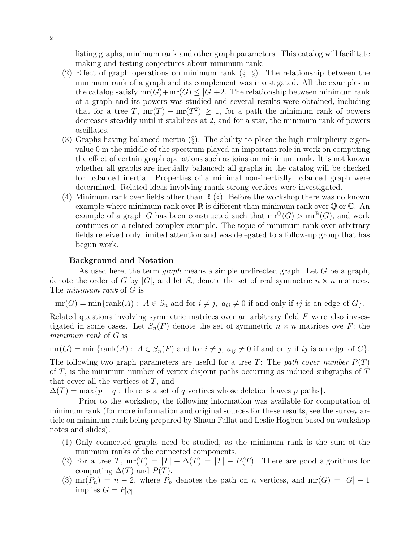listing graphs, minimum rank and other graph parameters. This catalog will facilitate making and testing conjectures about minimum rank.

- (2) Effect of graph operations on minimum rank  $(\S, \S)$ . The relationship between the minimum rank of a graph and its complement was investigated. All the examples in the catalog satisfy  $mr(G)+mr(G) \leq |G|+2$ . The relationship between minimum rank of a graph and its powers was studied and several results were obtained, including that for a tree T,  $mr(T) - mr(T^2) \ge 1$ , for a path the minimum rank of powers decreases steadily until it stabilizes at 2, and for a star, the minimum rank of powers oscillates.
- (3) Graphs having balanced inertia  $(\S)$ . The ability to place the high multiplicity eigenvalue 0 in the middle of the spectrum played an important role in work on computing the effect of certain graph operations such as joins on minimum rank. It is not known whether all graphs are inertially balanced; all graphs in the catalog will be checked for balanced inertia. Properties of a minimal non-inertially balanced graph were determined. Related ideas involving raank strong vertices were investigated.
- (4) Minimum rank over fields other than  $\mathbb{R}$  (§). Before the workshop there was no known example where minimum rank over  $\mathbb R$  is different than minimum rank over  $\mathbb Q$  or  $\mathbb C$ . An example of a graph G has been constructed such that  $mr^{\mathbb{Q}}(G) > mr^{\mathbb{R}}(G)$ , and work continues on a related complex example. The topic of minimum rank over arbitrary fields received only limited attention and was delegated to a follow-up group that has begun work.

#### Background and Notation

As used here, the term *graph* means a simple undirected graph. Let  $G$  be a graph, denote the order of G by  $|G|$ , and let  $S_n$  denote the set of real symmetric  $n \times n$  matrices. The minimum rank of G is

 $mr(G) = min{rank(A): A \in S_n$  and for  $i \neq j$ ,  $a_{ij} \neq 0$  if and only if ij is an edge of G.

Related questions involving symmetric matrices over an arbitrary field  $F$  were also invsestigated in some cases. Let  $S_n(F)$  denote the set of symmetric  $n \times n$  matrices ove F; the minimum rank of G is

 $mr(G) = min\{rank(A) : A \in S_n(F) \text{ and for } i \neq j, a_{ij} \neq 0 \text{ if and only if } ij \text{ is an edge of } G \}.$ The following two graph parameters are useful for a tree T: The path cover number  $P(T)$ of  $T$ , is the minimum number of vertex disjoint paths occurring as induced subgraphs of  $T$ that cover all the vertices of  $T$ , and

 $\Delta(T) = \max\{p - q : \text{there is a set of } q \text{ vertices whose deletion leaves } p \text{ paths}\}.$ 

Prior to the workshop, the following information was available for computation of minimum rank (for more information and original sources for these results, see the survey article on minimum rank being prepared by Shaun Fallat and Leslie Hogben based on workshop notes and slides).

- (1) Only connected graphs need be studied, as the minimum rank is the sum of the minimum ranks of the connected components.
- (2) For a tree T,  $mr(T) = |T| \Delta(T) = |T| P(T)$ . There are good algorithms for computing  $\Delta(T)$  and  $P(T)$ .
- (3)  $mr(P_n) = n 2$ , where  $P_n$  denotes the path on n vertices, and  $mr(G) = |G| 1$ implies  $G = P_{|G|}$ .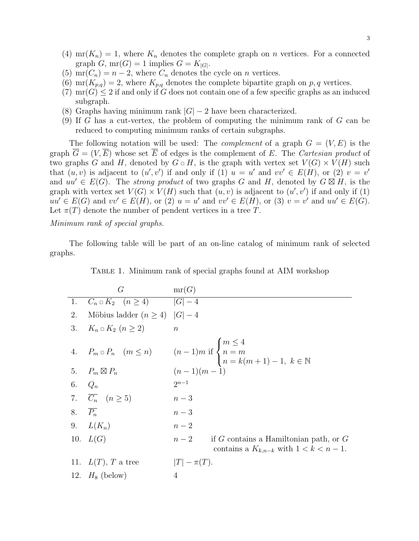- (4)  $mr(K_n) = 1$ , where  $K_n$  denotes the complete graph on *n* vertices. For a connected graph  $G$ ,  $mr(G) = 1$  implies  $G = K_{|G|}$ .
- (5)  $\text{mr}(C_n) = n-2$ , where  $C_n$  denotes the cycle on *n* vertices.
- (6) mr( $K_{p,q}$ ) = 2, where  $K_{p,q}$  denotes the complete bipartite graph on p, q vertices.
- (7)  $mr(G) \leq 2$  if and only if G does not contain one of a few specific graphs as an induced subgraph.
- (8) Graphs having minimum rank  $|G| 2$  have been characterized.
- (9) If G has a cut-vertex, the problem of computing the minimum rank of G can be reduced to computing minimum ranks of certain subgraphs.

The following notation will be used: The *complement* of a graph  $G = (V, E)$  is the graph  $\overline{G} = (V, \overline{E})$  whose set  $\overline{E}$  of edges is the complement of E. The Cartesian product of two graphs G and H, denoted by  $G \square H$ , is the graph with vertex set  $V(G) \times V(H)$  such that  $(u, v)$  is adjacent to  $(u', v')$  if and only if (1)  $u = u'$  and  $vv' \in E(H)$ , or (2)  $v = v'$ and  $uu' \in E(G)$ . The strong product of two graphs G and H, denoted by  $G \boxtimes H$ , is the graph with vertex set  $V(G) \times V(H)$  such that  $(u, v)$  is adjacent to  $(u', v')$  if and only if (1)  $uu' \in E(G)$  and  $vv' \in E(H)$ , or (2)  $u = u'$  and  $vv' \in E(H)$ , or (3)  $v = v'$  and  $uu' \in E(G)$ . Let  $\pi(T)$  denote the number of pendent vertices in a tree T.

### Minimum rank of special graphs.

The following table will be part of an on-line catalog of minimum rank of selected graphs.

| TABLE 1. Minimum rank of special graphs found at AIM workshop |  |  |  |  |
|---------------------------------------------------------------|--|--|--|--|
|                                                               |  |  |  |  |

|                     | G                                            | mr(G)                                                                                                                           |
|---------------------|----------------------------------------------|---------------------------------------------------------------------------------------------------------------------------------|
| 1.                  | $C_n \square K_2 \quad (n \geq 4)$ $ G  - 4$ |                                                                                                                                 |
| 2.                  | Möbius ladder $(n \geq 4)$  G  - 4           |                                                                                                                                 |
| 3.                  | $K_n \square K_2 \ (n \geq 2)$               | $\boldsymbol{n}$                                                                                                                |
|                     |                                              | 4. $P_m \square P_n$ $(m \le n)$ $(n-1)m$ if $\begin{cases} m \le 4 \\ n = m \\ n = k(m+1) - 1, \ k \in \mathbb{N} \end{cases}$ |
|                     | 5. $P_m \boxtimes P_n$                       | $(n-1)(m-1)$                                                                                                                    |
| 6. $Q_n$            |                                              | $2^{n-1}$                                                                                                                       |
|                     | 7. $\overline{C_n}$ $(n \geq 5)$             | $n-3$                                                                                                                           |
| 8. $\overline{P_n}$ |                                              | $n-3$                                                                                                                           |
|                     | 9. $L(K_n)$                                  | $n-2$                                                                                                                           |
|                     | 10. $L(G)$                                   | $n-2$<br>if $G$ contains a Hamiltonian path, or $G$<br>contains a $K_{k,n-k}$ with $1 < k < n-1$ .                              |
|                     | 11. $L(T)$ , T a tree                        | $ T -\pi(T).$                                                                                                                   |
|                     | 12. $H_8$ (below)                            | $\overline{4}$                                                                                                                  |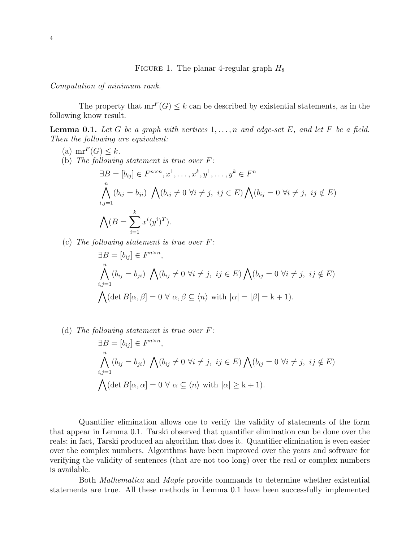FIGURE 1. The planar 4-regular graph  $H_8$ 

Computation of minimum rank.

The property that  $mr^F(G) \leq k$  can be described by existential statements, as in the following know result.

**Lemma 0.1.** Let G be a graph with vertices  $1, \ldots, n$  and edge-set E, and let F be a field. Then the following are equivalent:

(a) 
$$
\operatorname{mr}^F(G) \le k
$$
.  
\n(b) The following statement is true over F:  
\n
$$
\exists B = [b_{ij}] \in F^{n \times n}, x^1, \dots, x^k, y^1, \dots, y^k \in F^n
$$
\n
$$
\bigwedge_{i,j=1}^n (b_{ij} = b_{ji}) \bigwedge_{j \neq j} (b_{ij} \neq 0 \ \forall i \neq j, \ ij \in E) \bigwedge_{j \neq j} (b_{ij} = 0 \ \forall i \neq j, \ ij \notin E)
$$
\n
$$
\bigwedge (B = \sum_{i=1}^k x^i (y^i)^T).
$$

(c) The following statement is true over  $F$ :

$$
\exists B = [b_{ij}] \in F^{n \times n},
$$
  
\n
$$
\bigwedge_{i,j=1}^{n} (b_{ij} = b_{ji}) \bigwedge_{i,j \neq j} (b_{ij} \neq 0 \ \forall i \neq j, \ ij \in E) \bigwedge_{i,j=1} (b_{ij} = 0 \ \forall i \neq j, \ ij \notin E)
$$
  
\n
$$
\bigwedge (\det B[\alpha, \beta] = 0 \ \forall \ \alpha, \beta \subseteq \langle n \rangle \ \text{with } |\alpha| = |\beta| = k + 1).
$$

(d) The following statement is true over  $F$ :

$$
\exists B = [b_{ij}] \in F^{n \times n},
$$
  
\n
$$
\bigwedge_{i,j=1}^{n} (b_{ij} = b_{ji}) \bigwedge_{i,j \neq j} (b_{ij} \neq 0 \ \forall i \neq j, \ ij \in E) \bigwedge_{i,j=1} (b_{ij} = 0 \ \forall i \neq j, \ ij \notin E)
$$
  
\n
$$
\bigwedge (\det B[\alpha, \alpha] = 0 \ \forall \ \alpha \subseteq \langle n \rangle \ \text{with } |\alpha| \geq k+1).
$$

Quantifier elimination allows one to verify the validity of statements of the form that appear in Lemma 0.1. Tarski observed that quantifier elimination can be done over the reals; in fact, Tarski produced an algorithm that does it. Quantifier elimination is even easier over the complex numbers. Algorithms have been improved over the years and software for verifying the validity of sentences (that are not too long) over the real or complex numbers is available.

Both Mathematica and Maple provide commands to determine whether existential statements are true. All these methods in Lemma 0.1 have been successfully implemented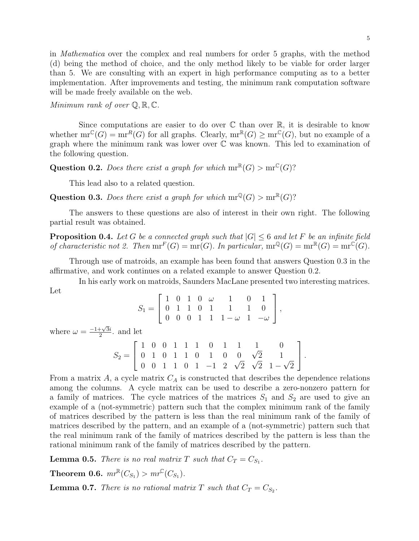in Mathematica over the complex and real numbers for order 5 graphs, with the method (d) being the method of choice, and the only method likely to be viable for order larger than 5. We are consulting with an expert in high performance computing as to a better implementation. After improvements and testing, the minimum rank computation software will be made freely available on the web.

Minimum rank of over  $\mathbb{Q}, \mathbb{R}, \mathbb{C}$ .

Since computations are easier to do over  $\mathbb C$  than over  $\mathbb R$ , it is desirable to know whether  $mr^{\mathbb{C}}(G) = mr^R(G)$  for all graphs. Clearly,  $mr^{\mathbb{R}}(G) \ge mr^{\mathbb{C}}(G)$ , but no example of a graph where the minimum rank was lower over C was known. This led to examination of the following question.

**Question 0.2.** Does there exist a graph for which  $mr^{\mathbb{R}}(G) > mr^{\mathbb{C}}(G)$ ?

This lead also to a related question.

Question 0.3. Does there exist a graph for which  $mr^{\mathbb{Q}}(G) > mr^{\mathbb{R}}(G)$ ?

The answers to these questions are also of interest in their own right. The following partial result was obtained.

**Proposition 0.4.** Let G be a connected graph such that  $|G| \leq 6$  and let F be an infinite field of characteristic not 2. Then  $mr^F(G) = mr(G)$ . In particular,  $mr^{\mathbb{Q}}(G) = mr^{\mathbb{R}}(G) = mr^{\mathbb{C}}(G)$ .

Through use of matroids, an example has been found that answers Question 0.3 in the affirmative, and work continues on a related example to answer Question 0.2.

In his early work on matroids, Saunders MacLane presented two interesting matrices. Let

$$
S_1 = \left[ \begin{array}{rrrrrr} 1 & 0 & 1 & 0 & \omega & 1 & 0 & 1 \\ 0 & 1 & 1 & 0 & 1 & 1 & 1 & 0 \\ 0 & 0 & 0 & 1 & 1 & 1 - \omega & 1 & -\omega \end{array} \right],
$$

where  $\omega = \frac{-1 + \sqrt{3}i}{2}$  $\frac{1+\sqrt{3}i}{2}$  and let

$$
S_2 = \left[ \begin{array}{rrrrrrrrr} 1 & 0 & 0 & 1 & 1 & 1 & 0 & 1 & 1 & 1 & 0 \\ 0 & 1 & 0 & 1 & 1 & 0 & 1 & 0 & 0 & \sqrt{2} & 1 \\ 0 & 0 & 1 & 1 & 0 & 1 & -1 & 2 & \sqrt{2} & \sqrt{2} & 1 - \sqrt{2} \end{array} \right].
$$

From a matrix  $A$ , a cycle matrix  $C_A$  is constructed that describes the dependence relations among the columns. A cycle matrix can be used to describe a zero-nonzero pattern for a family of matrices. The cycle matrices of the matrices  $S_1$  and  $S_2$  are used to give an example of a (not-symmetric) pattern such that the complex minimum rank of the family of matrices described by the pattern is less than the real minimum rank of the family of matrices described by the pattern, and an example of a (not-symmetric) pattern such that the real minimum rank of the family of matrices described by the pattern is less than the rational minimum rank of the family of matrices described by the pattern.

**Lemma 0.5.** There is no real matrix T such that  $C_T = C_{S_1}$ .

**Theorem 0.6.**  $mr^{\mathbb{R}}(C_{S_1}) > mr^{\mathbb{C}}(C_{S_1})$ .

**Lemma 0.7.** There is no rational matrix T such that  $C_T = C_{S_2}$ .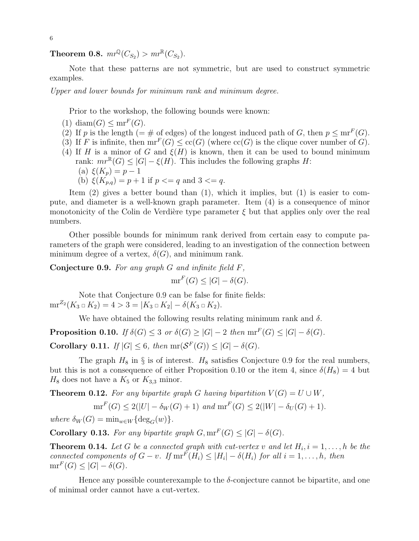**Theorem 0.8.**  $mr^{\mathbb{Q}}(C_{S_2}) > mr^{\mathbb{R}}(C_{S_2})$ .

Note that these patterns are not symmetric, but are used to construct symmetric examples.

Upper and lower bounds for minimum rank and minimum degree.

Prior to the workshop, the following bounds were known:

- (1) diam(G)  $\leq mr^F(G)$ .
- (2) If p is the length (=  $\#$  of edges) of the longest induced path of G, then  $p \leq mr<sup>F</sup>(G)$ .
- (3) If F is infinite, then  $mr^F(G) \leq cc(G)$  (where  $cc(G)$  is the clique cover number of G).
- (4) If H is a minor of G and  $\xi(H)$  is known, then it can be used to bound minimum rank:  $mr^{\mathbb{R}}(G) \leq |G| - \xi(H)$ . This includes the following graphs H: (a)  $\xi(K_p) = p - 1$ 
	- (b)  $\xi(K_{p,q}) = p + 1$  if  $p \leq q$  and  $3 \leq q$ .

Item (2) gives a better bound than (1), which it implies, but (1) is easier to compute, and diameter is a well-known graph parameter. Item (4) is a consequence of minor monotonicity of the Colin de Verdière type parameter  $\xi$  but that applies only over the real numbers.

Other possible bounds for minimum rank derived from certain easy to compute parameters of the graph were considered, leading to an investigation of the connection between minimum degree of a vertex,  $\delta(G)$ , and minimum rank.

**Conjecture 0.9.** For any graph  $G$  and infinite field  $F$ ,

 $mr^F(G) \leq |G| - \delta(G).$ 

Note that Conjecture 0.9 can be false for finite fields:  $mr^{Z_2}(K_3 \square K_2) = 4 > 3 = |K_3 \square K_2| - \delta(K_3 \square K_2).$ 

We have obtained the following results relating minimum rank and  $\delta$ .

**Proposition 0.10.** If  $\delta(G) \leq 3$  or  $\delta(G) \geq |G| - 2$  then  $mr^F(G) \leq |G| - \delta(G)$ .

Corollary 0.11. If  $|G| \leq 6$ , then  $mr(\mathcal{S}^F(G)) \leq |G| - \delta(G)$ .

The graph  $H_8$  in § is of interest.  $H_8$  satisfies Conjecture 0.9 for the real numbers, but this is not a consequence of either Proposition 0.10 or the item 4, since  $\delta(H_8) = 4$  but  $H_8$  does not have a  $K_5$  or  $K_{3,3}$  minor.

**Theorem 0.12.** For any bipartite graph G having bipartition  $V(G) = U \cup W$ ,

 $mr^F(G) \leq 2(|U| - \delta_W(G) + 1)$  and  $mr^F(G) \leq 2(|W| - \delta_U(G) + 1)$ .

where  $\delta_W(G) = \min_{w \in W} {\deg_G(w)}$ .

**Corollary 0.13.** For any bipartite graph  $G, \text{mr}^F(G) \leq |G| - \delta(G)$ .

**Theorem 0.14.** Let G be a connected graph with cut-vertex v and let  $H_i$ ,  $i = 1, \ldots, h$  be the connected components of  $G - v$ . If  $\text{mr}^F(H_i) \leq |H_i| - \delta(H_i)$  for all  $i = 1, ..., h$ , then  $mr^F(G) \leq |G| - \delta(G).$ 

Hence any possible counterexample to the  $\delta$ -conjecture cannot be bipartite, and one of minimal order cannot have a cut-vertex.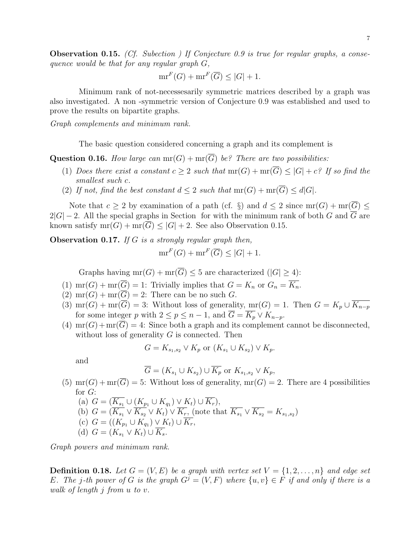**Observation 0.15.** (Cf. Subection ) If Conjecture 0.9 is true for regular graphs, a consequence would be that for any regular graph G,

$$
\operatorname{mr}^F(G) + \operatorname{mr}^F(\overline{G}) \le |G| + 1.
$$

Minimum rank of not-necessesarily symmetric matrices described by a graph was also investigated. A non -symmetric version of Conjecture 0.9 was established and used to prove the results on bipartite graphs.

Graph complements and minimum rank.

The basic question considered concerning a graph and its complement is

**Question 0.16.** How large can  $mr(G) + mr(\overline{G})$  be? There are two possibilities:

- (1) Does there exist a constant  $c \geq 2$  such that  $mr(G) + mr(\overline{G}) \leq |G| + c$ ? If so find the smallest such c.
- (2) If not, find the best constant  $d \leq 2$  such that  $mr(G) + mr(\overline{G}) \leq d|G|$ .

Note that  $c \ge 2$  by examination of a path (cf. §) and  $d \le 2$  since  $mr(G) + mr(\overline{G}) \le$  $2|G| - 2$ . All the special graphs in Section for with the minimum rank of both G and  $\overline{G}$  are known satisfy  $mr(G) + mr(\overline{G}) \leq |G| + 2$ . See also Observation 0.15.

**Observation 0.17.** If G is a strongly regular graph then,

$$
\operatorname{mr}^F(G) + \operatorname{mr}^F(\overline{G}) \le |G| + 1.
$$

Graphs having  $mr(G) + mr(\overline{G}) \leq 5$  are characterized  $(|G| \geq 4)$ :

- (1)  $\operatorname{mr}(G) + \operatorname{mr}(\overline{G}) = 1$ : Trivially implies that  $G = K_n$  or  $G_n = \overline{K_n}$ .
- $(2) \text{ mr}(G) + \text{ mr}(G) = 2$ : There can be no such G.
- (3)  $\text{mr}(G) + \text{mr}(\overline{G}) = 3$ : Without loss of generality,  $\text{mr}(G) = 1$ . Then  $G = K_p \cup \overline{K_{n-p}}$ for some integer p with  $2 \le p \le n-1$ , and  $\overline{G} = \overline{K_p} \vee K_{n-p}$ .
- (4)  $mr(G) + mr(\overline{G}) = 4$ : Since both a graph and its complement cannot be disconnected, without loss of generality  $G$  is connected. Then

$$
G = K_{s_1, s_2} \vee K_p \text{ or } (K_{s_1} \cup K_{s_2}) \vee K_p.
$$

and

$$
\overline{G} = (K_{s_1} \cup K_{s_2}) \cup \overline{K_p} \text{ or } K_{s_1,s_2} \vee K_p,
$$

- (5)  $mr(G) + mr(\overline{G}) = 5$ : Without loss of generality,  $mr(G) = 2$ . There are 4 possibilities for  $G$ :
	- (a)  $G = (K_{s_1} \cup (K_{p_1} \cup K_{q_1}) \vee K_t) \cup \overline{K_r}),$ (b)  $G = (K_{s_1} \vee K_{s_2} \vee K_t) \vee K_r$ , (note that  $K_{s_1} \vee K_{s_2} = K_{s_1,s_2}$ ) (c)  $G = ((K_{p_1} \cup K_{q_1}) \vee K_t) \cup K_r,$ (d)  $G = (K_{s_1} \vee K_t) \cup \overline{K_s}.$

Graph powers and minimum rank.

**Definition 0.18.** Let  $G = (V, E)$  be a graph with vertex set  $V = \{1, 2, ..., n\}$  and edge set E. The j-th power of G is the graph  $G^j = (V, F)$  where  $\{u, v\} \in F$  if and only if there is a walk of length j from u to v.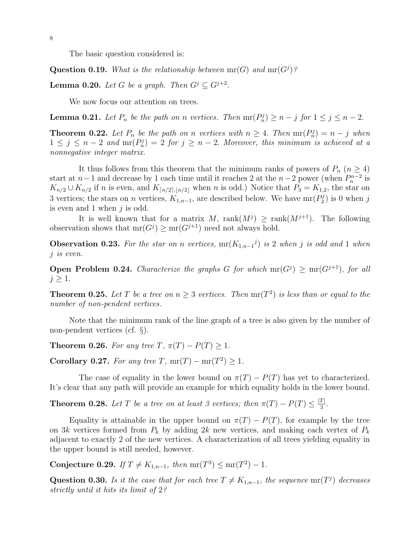The basic question considered is:

Question 0.19. What is the relationship between  $mr(G)$  and  $mr(G^j)$ ?

**Lemma 0.20.** Let G be a graph. Then  $G^j \subseteq G^{j+2}$ .

We now focus our attention on trees.

**Lemma 0.21.** Let  $P_n$  be the path on n vertices. Then  $mr(P_n^j) \ge n - j$  for  $1 \le j \le n - 2$ .

**Theorem 0.22.** Let  $P_n$  be the path on n vertices with  $n \geq 4$ . Then  $mr(P_n^j) = n - j$  when  $1 \leq j \leq n-2$  and  $\operatorname{mr}(P_n^j) = 2$  for  $j \geq n-2$ . Moreover, this minimum is achieved at a nonnegative integer matrix.

It thus follows from this theorem that the minimum ranks of powers of  $P_n$  ( $n \geq 4$ ) start at  $n-1$  and decrease by 1 each time until it reaches 2 at the  $n-2$  power (when  $P_n^{n-2}$  is  $K_{n/2} \cup K_{n/2}$  if n is even, and  $K_{\lceil n/2 \rceil, \lfloor n/2 \rfloor}$  when n is odd.) Notice that  $P_3 = K_{1,2}$ , the star on 3 vertices; the stars on n vertices,  $K_{1,n-1}$ , are described below. We have  $\text{mr}(P_2^j)$  $2^{j}$  is 0 when j is even and 1 when  $j$  is odd.

It is well known that for a matrix M,  $rank(M^{j}) \geq rank(M^{j+1})$ . The following observation shows that  $mr(G^j) \ge mr(G^{j+1})$  need not always hold.

**Observation 0.23.** For the star on n vertices,  $mr(K_{1,n-1}^j)$  is 2 when j is odd and 1 when j is even.

**Open Problem 0.24.** Characterize the graphs G for which  $mr(G^j) \ge mr(G^{j+1})$ , for all  $j \geq 1$ .

**Theorem 0.25.** Let T be a tree on  $n \geq 3$  vertices. Then  $mr(T^2)$  is less than or equal to the number of non-pendent vertices.

Note that the minimum rank of the line graph of a tree is also given by the number of non-pendent vertices (cf. §).

**Theorem 0.26.** For any tree T,  $\pi(T) - P(T) \geq 1$ .

Corollary 0.27. For any tree T,  $mr(T) - mr(T^2) \geq 1$ .

The case of equality in the lower bound on  $\pi(T) - P(T)$  has yet to characterized. It's clear that any path will provide an example for which equality holds in the lower bound.

**Theorem 0.28.** Let T be a tree on at least 3 vertices; then  $\pi(T) - P(T) \leq \frac{|T|}{3}$  $rac{1}{3}$ .

Equality is attainable in the upper bound on  $\pi(T) - P(T)$ , for example by the tree on 3k vertices formed from  $P_k$  by adding 2k new vertices, and making each vertex of  $P_k$ adjacent to exactly 2 of the new vertices. A characterization of all trees yielding equality in the upper bound is still needed, however.

Conjecture 0.29. If  $T \neq K_{1,n-1}$ , then  $mr(T^3) \leq mr(T^2) - 1$ .

Question 0.30. Is it the case that for each tree  $T \neq K_{1,n-1}$ , the sequence mr(T<sup>j</sup>) decreases strictly until it hits its limit of 2?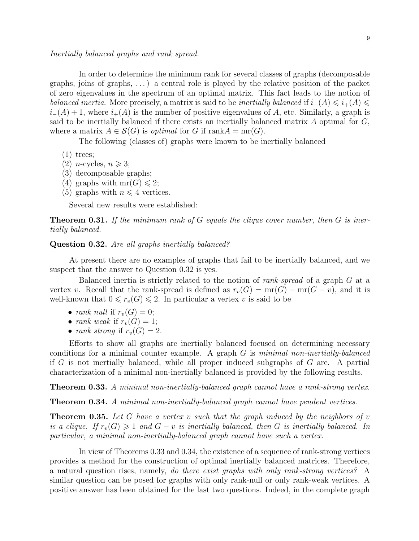#### Inertially balanced graphs and rank spread.

In order to determine the minimum rank for several classes of graphs (decomposable graphs, joins of graphs,  $\dots$ ) a central role is played by the relative position of the packet of zero eigenvalues in the spectrum of an optimal matrix. This fact leads to the notion of balanced inertia. More precisely, a matrix is said to be inertially balanced if  $i_-(A) \leq i_+(A) \leq$  $i-(A) + 1$ , where  $i+(A)$  is the number of positive eigenvalues of A, etc. Similarly, a graph is said to be inertially balanced if there exists an inertially balanced matrix  $A$  optimal for  $G$ , where a matrix  $A \in \mathcal{S}(G)$  is *optimal* for G if rank $A = mr(G)$ .

The following (classes of) graphs were known to be inertially balanced

- (1) trees;
- $(2)$  *n*-cycles,  $n \geq 3$ ;
- (3) decomposable graphs;
- (4) graphs with  $mr(G) \leq 2$ ;
- (5) graphs with  $n \leq 4$  vertices.

Several new results were established:

**Theorem 0.31.** If the minimum rank of G equals the clique cover number, then  $G$  is inertially balanced.

Question 0.32. Are all graphs inertially balanced?

At present there are no examples of graphs that fail to be inertially balanced, and we suspect that the answer to Question 0.32 is yes.

Balanced inertia is strictly related to the notion of *rank-spread* of a graph  $G$  at a vertex v. Recall that the rank-spread is defined as  $r_v(G) = \text{mr}(G) - \text{mr}(G - v)$ , and it is well-known that  $0 \le r_v(G) \le 2$ . In particular a vertex v is said to be

- rank null if  $r_v(G) = 0$ ;
- rank weak if  $r_v(G) = 1$ ;
- rank strong if  $r_v(G) = 2$ .

Efforts to show all graphs are inertially balanced focused on determining necessary conditions for a minimal counter example. A graph  $G$  is minimal non-inertially-balanced if G is not inertially balanced, while all proper induced subgraphs of G are. A partial characterization of a minimal non-inertially balanced is provided by the following results.

Theorem 0.33. A minimal non-inertially-balanced graph cannot have a rank-strong vertex.

Theorem 0.34. A minimal non-inertially-balanced graph cannot have pendent vertices.

**Theorem 0.35.** Let G have a vertex v such that the graph induced by the neighbors of v is a clique. If  $r_v(G) \geq 1$  and  $G - v$  is inertially balanced, then G is inertially balanced. In particular, a minimal non-inertially-balanced graph cannot have such a vertex.

In view of Theorems 0.33 and 0.34, the existence of a sequence of rank-strong vertices provides a method for the construction of optimal inertially balanced matrices. Therefore, a natural question rises, namely, do there exist graphs with only rank-strong vertices? A similar question can be posed for graphs with only rank-null or only rank-weak vertices. A positive answer has been obtained for the last two questions. Indeed, in the complete graph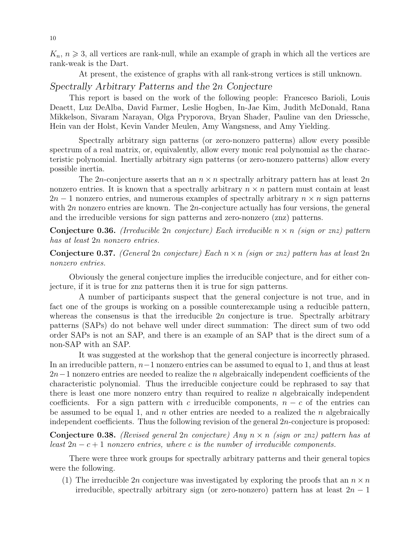$K_n$ ,  $n \geq 3$ , all vertices are rank-null, while an example of graph in which all the vertices are rank-weak is the Dart.

At present, the existence of graphs with all rank-strong vertices is still unknown.

## Spectrally Arbitrary Patterns and the 2n Conjecture

This report is based on the work of the following people: Francesco Barioli, Louis Deaett, Luz DeAlba, David Farmer, Leslie Hogben, In-Jae Kim, Judith McDonald, Rana Mikkelson, Sivaram Narayan, Olga Pryporova, Bryan Shader, Pauline van den Driessche, Hein van der Holst, Kevin Vander Meulen, Amy Wangsness, and Amy Yielding.

Spectrally arbitrary sign patterns (or zero-nonzero patterns) allow every possible spectrum of a real matrix, or, equivalently, allow every monic real polynomial as the characteristic polynomial. Inertially arbitrary sign patterns (or zero-nonzero patterns) allow every possible inertia.

The 2n-conjecture asserts that an  $n \times n$  spectrally arbitrary pattern has at least  $2n$ nonzero entries. It is known that a spectrally arbitrary  $n \times n$  pattern must contain at least  $2n-1$  nonzero entries, and numerous examples of spectrally arbitrary  $n \times n$  sign patterns with  $2n$  nonzero entries are known. The  $2n$ -conjecture actually has four versions, the general and the irreducible versions for sign patterns and zero-nonzero (znz) patterns.

**Conjecture 0.36.** (Irreducible 2n conjecture) Each irreducible  $n \times n$  (sign or znz) pattern has at least 2n nonzero entries.

**Conjecture 0.37.** (General 2n conjecture) Each  $n \times n$  (sign or znz) pattern has at least 2n nonzero entries.

Obviously the general conjecture implies the irreducible conjecture, and for either conjecture, if it is true for znz patterns then it is true for sign patterns.

A number of participants suspect that the general conjecture is not true, and in fact one of the groups is working on a possible counterexample using a reducible pattern, whereas the consensus is that the irreducible  $2n$  conjecture is true. Spectrally arbitrary patterns (SAPs) do not behave well under direct summation: The direct sum of two odd order SAPs is not an SAP, and there is an example of an SAP that is the direct sum of a non-SAP with an SAP.

It was suggested at the workshop that the general conjecture is incorrectly phrased. In an irreducible pattern, n−1 nonzero entries can be assumed to equal to 1, and thus at least  $2n-1$  nonzero entries are needed to realize the n algebraically independent coefficients of the characteristic polynomial. Thus the irreducible conjecture could be rephrased to say that there is least one more nonzero entry than required to realize  $n$  algebraically independent coefficients. For a sign pattern with c irreducible components,  $n - c$  of the entries can be assumed to be equal 1, and n other entries are needed to a realized the n algebraically independent coefficients. Thus the following revision of the general  $2n$ -conjecture is proposed:

**Conjecture 0.38.** (Revised general 2n conjecture) Any  $n \times n$  (sign or znz) pattern has at least  $2n - c + 1$  nonzero entries, where c is the number of irreducible components.

There were three work groups for spectrally arbitrary patterns and their general topics were the following.

(1) The irreducible 2n conjecture was investigated by exploring the proofs that an  $n \times n$ irreducible, spectrally arbitrary sign (or zero-nonzero) pattern has at least  $2n - 1$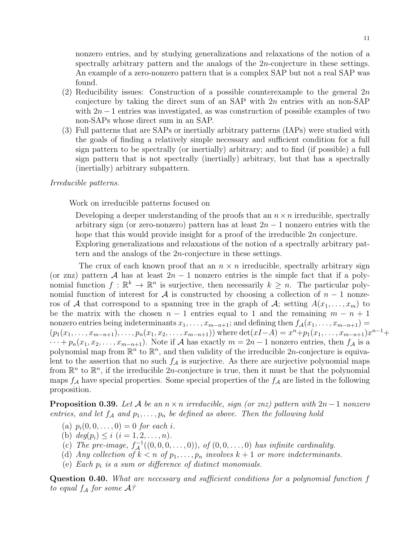nonzero entries, and by studying generalizations and relaxations of the notion of a spectrally arbitrary pattern and the analogs of the 2n-conjecture in these settings. An example of a zero-nonzero pattern that is a complex SAP but not a real SAP was found.

- (2) Reducibility issues: Construction of a possible counterexample to the general  $2n$ conjecture by taking the direct sum of an SAP with  $2n$  entries with an non-SAP with  $2n-1$  entries was investigated, as was construction of possible examples of two non-SAPs whose direct sum in an SAP.
- (3) Full patterns that are SAPs or inertially arbitrary patterns (IAPs) were studied with the goals of finding a relatively simple necessary and sufficient condition for a full sign pattern to be spectrally (or inertially) arbitrary; and to find (if possible) a full sign pattern that is not spectrally (inertially) arbitrary, but that has a spectrally (inertially) arbitrary subpattern.

### Irreducible patterns.

Work on irreducible patterns focused on

Developing a deeper understanding of the proofs that an  $n \times n$  irreducible, spectrally arbitrary sign (or zero-nonzero) pattern has at least  $2n-1$  nonzero entries with the hope that this would provide insight for a proof of the irreducible 2n conjecture. Exploring generalizations and relaxations of the notion of a spectrally arbitrary pattern and the analogs of the 2n-conjecture in these settings.

The crux of each known proof that an  $n \times n$  irreducible, spectrally arbitrary sign (or znz) pattern A has at least  $2n - 1$  nonzero entries is the simple fact that if a polynomial function  $f: \mathbb{R}^k \to \mathbb{R}^n$  is surjective, then necessarily  $k \geq n$ . The particular polynomial function of interest for A is constructed by choosing a collection of  $n-1$  nonzeros of A that correspond to a spanning tree in the graph of A; setting  $A(x_1, \ldots, x_m)$  to be the matrix with the chosen  $n-1$  entries equal to 1 and the remaining  $m - n + 1$ nonzero entries being indeterminants  $x_1, \ldots, x_{m-n+1}$ ; and defining then  $f_A(x_1, \ldots, x_{m-n+1}) =$  $(p_1(x_1, \ldots, x_{m-n+1}), \ldots, p_n(x_1, x_2, \ldots, x_{m-n+1}))$  where  $\det(xI-A) = x^n + p_1(x_1, \ldots, x_{m-n+1})x^{n-1} +$  $\cdots + p_n(x_1, x_2, \ldots, x_{m-n+1})$ . Note if A has exactly  $m = 2n - 1$  nonzero entries, then  $f_A$  is a polynomial map from  $\mathbb{R}^n$  to  $\mathbb{R}^n$ , and then validity of the irreducible 2n-conjecture is equivalent to the assertion that no such  $f_A$  is surjective. As there are surjective polynomial maps from  $\mathbb{R}^n$  to  $\mathbb{R}^n$ , if the irreducible  $2n$ -conjecture is true, then it must be that the polynomial maps  $f_A$  have special properties. Some special properties of the  $f_A$  are listed in the following proposition.

**Proposition 0.39.** Let A be an  $n \times n$  irreducible, sign (or znz) pattern with  $2n - 1$  nonzero entries, and let  $f_A$  and  $p_1, \ldots, p_n$  be defined as above. Then the following hold

- (a)  $p_i(0, 0, \ldots, 0) = 0$  for each i.
- (b)  $deg(p_i) \leq i \ (i = 1, 2, \ldots, n).$
- (c) The pre-image,  $f_{\mathcal{A}}^{-1}((0,0,0,\ldots,0)),$  of  $(0,0,\ldots,0)$  has infinite cardinality.
- (d) Any collection of  $k < n$  of  $p_1, \ldots, p_n$  involves  $k + 1$  or more indeterminants.
- (e) Each  $p_i$  is a sum or difference of distinct monomials.

Question 0.40. What are necessary and sufficient conditions for a polynomial function f to equal  $f_A$  for some  $A$ ?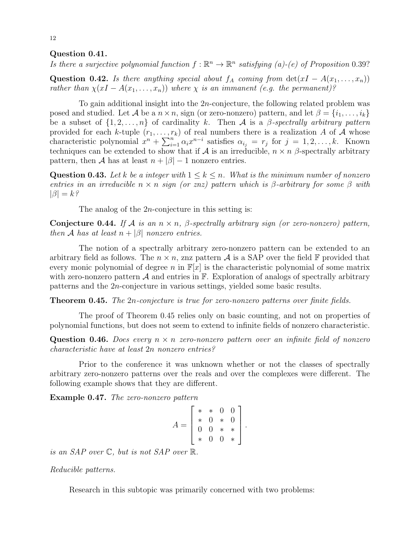### Question 0.41.

Is there a surjective polynomial function  $f : \mathbb{R}^n \to \mathbb{R}^n$  satisfying (a)-(e) of Proposition 0.39?

Question 0.42. Is there anything special about  $f_A$  coming from  $det(xI - A(x_1, \ldots, x_n))$ rather than  $\chi(xI - A(x_1, \ldots, x_n))$  where  $\chi$  is an immanent (e.g. the permanent)?

To gain additional insight into the 2n-conjecture, the following related problem was posed and studied. Let A be a  $n \times n$ , sign (or zero-nonzero) pattern, and let  $\beta = \{i_1, \ldots, i_k\}$ be a subset of  $\{1, 2, \ldots, n\}$  of cardinality k. Then A is a  $\beta$ -spectrally arbitrary pattern provided for each k-tuple  $(r_1, \ldots, r_k)$  of real numbers there is a realization A of A whose characteristic polynomial  $x^n + \sum_{i=1}^n \alpha_i x^{n-i}$  satisfies  $\alpha_{i_j} = r_j$  for  $j = 1, 2, ..., k$ . Known techniques can be extended to show that if A is an irreducible,  $n \times n$  β-spectrally arbitrary pattern, then A has at least  $n + |\beta| - 1$  nonzero entries.

Question 0.43. Let k be a integer with  $1 \leq k \leq n$ . What is the minimum number of nonzero entries in an irreducible  $n \times n$  sign (or znz) pattern which is β-arbitrary for some β with  $|\beta| = k$ ?

The analog of the  $2n$ -conjecture in this setting is:

Conjecture 0.44. If A is an  $n \times n$ ,  $\beta$ -spectrally arbitrary sign (or zero-nonzero) pattern, then A has at least  $n + |\beta|$  nonzero entries.

The notion of a spectrally arbitrary zero-nonzero pattern can be extended to an arbitrary field as follows. The  $n \times n$ , znz pattern A is a SAP over the field F provided that every monic polynomial of degree n in  $\mathbb{F}[x]$  is the characteristic polynomial of some matrix with zero-nonzero pattern  $\mathcal A$  and entries in  $\mathbb F$ . Exploration of analogs of spectrally arbitrary patterns and the 2n-conjecture in various settings, yielded some basic results.

**Theorem 0.45.** The 2n-conjecture is true for zero-nonzero patterns over finite fields.

The proof of Theorem 0.45 relies only on basic counting, and not on properties of polynomial functions, but does not seem to extend to infinite fields of nonzero characteristic.

**Question 0.46.** Does every  $n \times n$  zero-nonzero pattern over an infinite field of nonzero characteristic have at least 2n nonzero entries?

Prior to the conference it was unknown whether or not the classes of spectrally arbitrary zero-nonzero patterns over the reals and over the complexes were different. The following example shows that they are different.

Example 0.47. The zero-nonzero pattern

$$
A = \begin{bmatrix} * & * & 0 & 0 \\ * & 0 & * & 0 \\ 0 & 0 & * & * \\ * & 0 & 0 & * \end{bmatrix}.
$$

is an SAP over C, but is not SAP over R.

Reducible patterns.

Research in this subtopic was primarily concerned with two problems: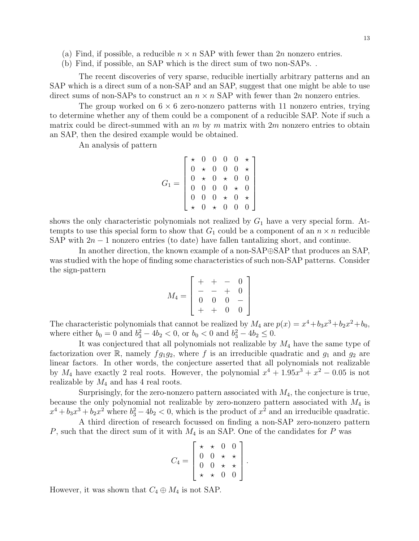- (a) Find, if possible, a reducible  $n \times n$  SAP with fewer than  $2n$  nonzero entries.
- (b) Find, if possible, an SAP which is the direct sum of two non-SAPs. .

The recent discoveries of very sparse, reducible inertially arbitrary patterns and an SAP which is a direct sum of a non-SAP and an SAP, suggest that one might be able to use direct sums of non-SAPs to construct an  $n \times n$  SAP with fewer than  $2n$  nonzero entries.

The group worked on  $6 \times 6$  zero-nonzero patterns with 11 nonzero entries, trying to determine whether any of them could be a component of a reducible SAP. Note if such a matrix could be direct-summed with an  $m$  by  $m$  matrix with  $2m$  nonzero entries to obtain an SAP, then the desired example would be obtained.

An analysis of pattern

$$
G_1 = \left[\begin{array}{cccc} \star & 0 & 0 & 0 & 0 & \star \\ 0 & \star & 0 & 0 & 0 & \star \\ 0 & \star & 0 & \star & 0 & 0 \\ 0 & 0 & 0 & 0 & \star & 0 \\ 0 & 0 & 0 & \star & 0 & \star \\ \star & 0 & \star & 0 & 0 & 0 \end{array}\right]
$$

shows the only characteristic polynomials not realized by  $G_1$  have a very special form. Attempts to use this special form to show that  $G_1$  could be a component of an  $n \times n$  reducible SAP with  $2n - 1$  nonzero entries (to date) have fallen tantalizing short, and continue.

In another direction, the known example of a non-SAP⊕SAP that produces an SAP, was studied with the hope of finding some characteristics of such non-SAP patterns. Consider the sign-pattern

$$
M_4 = \left[ \begin{array}{rrrr} + & + & - & 0 \\ - & - & + & 0 \\ 0 & 0 & 0 & - \\ + & + & 0 & 0 \end{array} \right]
$$

The characteristic polynomials that cannot be realized by  $M_4$  are  $p(x) = x^4 + b_3x^3 + b_2x^2 + b_0$ , where either  $b_0 = 0$  and  $b_3^2 - 4b_2 < 0$ , or  $b_0 < 0$  and  $b_3^2 - 4b_2 \le 0$ .

It was conjectured that all polynomials not realizable by  $M_4$  have the same type of factorization over R, namely  $fg_1g_2$ , where f is an irreducible quadratic and  $g_1$  and  $g_2$  are linear factors. In other words, the conjecture asserted that all polynomials not realizable by  $M_4$  have exactly 2 real roots. However, the polynomial  $x^4 + 1.95x^3 + x^2 - 0.05$  is not realizable by  $M_4$  and has 4 real roots.

Surprisingly, for the zero-nonzero pattern associated with  $M_4$ , the conjecture is true, because the only polynomial not realizable by zero-nonzero pattern associated with  $M_4$  is  $x^4 + b_3x^3 + b_2x^2$  where  $b_3^2 - 4b_2 < 0$ , which is the product of  $x^2$  and an irreducible quadratic.

A third direction of research focussed on finding a non-SAP zero-nonzero pattern P, such that the direct sum of it with  $M_4$  is an SAP. One of the candidates for P was

$$
C_4 = \left[ \begin{array}{cccc} \star & \star & 0 & 0 \\ 0 & 0 & \star & \star \\ 0 & 0 & \star & \star \\ \star & \star & 0 & 0 \end{array} \right].
$$

However, it was shown that  $C_4 \oplus M_4$  is not SAP.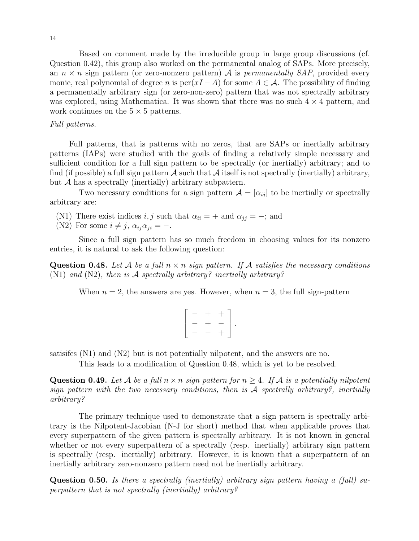Based on comment made by the irreducible group in large group discussions (cf. Question 0.42), this group also worked on the permanental analog of SAPs. More precisely, an  $n \times n$  sign pattern (or zero-nonzero pattern) A is *permanentally SAP*, provided every monic, real polynomial of degree n is  $per(xI - A)$  for some  $A \in \mathcal{A}$ . The possibility of finding a permanentally arbitrary sign (or zero-non-zero) pattern that was not spectrally arbitrary was explored, using Mathematica. It was shown that there was no such  $4 \times 4$  pattern, and work continues on the  $5 \times 5$  patterns.

### Full patterns.

Full patterns, that is patterns with no zeros, that are SAPs or inertially arbitrary patterns (IAPs) were studied with the goals of finding a relatively simple necessary and sufficient condition for a full sign pattern to be spectrally (or inertially) arbitrary; and to find (if possible) a full sign pattern  $\mathcal A$  such that  $\mathcal A$  itself is not spectrally (inertially) arbitrary, but A has a spectrally (inertially) arbitrary subpattern.

Two necessary conditions for a sign pattern  $\mathcal{A} = [\alpha_{ij}]$  to be inertially or spectrally arbitrary are:

(N1) There exist indices i, j such that  $\alpha_{ii} = +$  and  $\alpha_{jj} = -$ ; and

(N2) For some  $i \neq j$ ,  $\alpha_{ij}\alpha_{ji} = -$ .

Since a full sign pattern has so much freedom in choosing values for its nonzero entries, it is natural to ask the following question:

**Question 0.48.** Let A be a full  $n \times n$  sign pattern. If A satisfies the necessary conditions (N1) and (N2), then is  $\mathcal A$  spectrally arbitrary? inertially arbitrary?

When  $n = 2$ , the answers are yes. However, when  $n = 3$ , the full sign-pattern

$$
\left[\begin{array}{ccc} -&+&+\\ -&+&-\\ -&-&+\end{array}\right].
$$

satisifes  $(N1)$  and  $(N2)$  but is not potentially nilpotent, and the answers are no.

This leads to a modification of Question 0.48, which is yet to be resolved.

Question 0.49. Let A be a full  $n \times n$  sign pattern for  $n \geq 4$ . If A is a potentially nilpotent sign pattern with the two necessary conditions, then is  $A$  spectrally arbitrary?, inertially arbitrary?

The primary technique used to demonstrate that a sign pattern is spectrally arbitrary is the Nilpotent-Jacobian (N-J for short) method that when applicable proves that every superpattern of the given pattern is spectrally arbitrary. It is not known in general whether or not every superpattern of a spectrally (resp. inertially) arbitrary sign pattern is spectrally (resp. inertially) arbitrary. However, it is known that a superpattern of an inertially arbitrary zero-nonzero pattern need not be inertially arbitrary.

Question 0.50. Is there a spectrally (inertially) arbitrary sign pattern having a (full) superpattern that is not spectrally (inertially) arbitrary?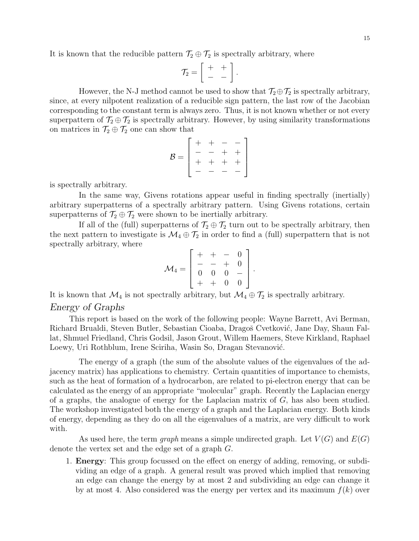It is known that the reducible pattern  $\mathcal{T}_2 \oplus \mathcal{T}_2$  is spectrally arbitrary, where

$$
\mathcal{T}_2 = \left[ \begin{array}{cc} + & + \\ - & - \end{array} \right]
$$

.

However, the N-J method cannot be used to show that  $\mathcal{T}_2 \oplus \mathcal{T}_2$  is spectrally arbitrary, since, at every nilpotent realization of a reducible sign pattern, the last row of the Jacobian corresponding to the constant term is always zero. Thus, it is not known whether or not every superpattern of  $\mathcal{T}_2 \oplus \mathcal{T}_2$  is spectrally arbitrary. However, by using similarity transformations on matrices in  $\mathcal{T}_2 \oplus \mathcal{T}_2$  one can show that

$$
\mathcal{B} = \left[ \begin{array}{cccc} + & + & - & - \\ - & - & + & + \\ + & + & + & + \\ - & - & - & - \end{array} \right]
$$

is spectrally arbitrary.

In the same way, Givens rotations appear useful in finding spectrally (inertially) arbitrary superpatterns of a spectrally arbitrary pattern. Using Givens rotations, certain superpatterns of  $\mathcal{T}_2 \oplus \mathcal{T}_2$  were shown to be inertially arbitrary.

If all of the (full) superpatterns of  $\mathcal{T}_2 \oplus \mathcal{T}_2$  turn out to be spectrally arbitrary, then the next pattern to investigate is  $\mathcal{M}_4 \oplus \mathcal{T}_2$  in order to find a (full) superpattern that is not spectrally arbitrary, where

$$
\mathcal{M}_4 = \left[ \begin{array}{rrrr} + & + & - & 0 \\ - & - & + & 0 \\ 0 & 0 & 0 & - \\ + & + & 0 & 0 \end{array} \right].
$$

It is known that  $\mathcal{M}_4$  is not spectrally arbitrary, but  $\mathcal{M}_4 \oplus \mathcal{T}_2$  is spectrally arbitrary.

# Energy of Graphs

This report is based on the work of the following people: Wayne Barrett, Avi Berman, Richard Brualdi, Steven Butler, Sebastian Cioaba, Dragoš Cvetković, Jane Day, Shaun Fallat, Shmuel Friedland, Chris Godsil, Jason Grout, Willem Haemers, Steve Kirkland, Raphael Loewy, Uri Rothblum, Irene Sciriha, Wasin So, Dragan Stevanović.

The energy of a graph (the sum of the absolute values of the eigenvalues of the adjacency matrix) has applications to chemistry. Certain quantities of importance to chemists, such as the heat of formation of a hydrocarbon, are related to pi-electron energy that can be calculated as the energy of an appropriate "molecular" graph. Recently the Laplacian energy of a graphs, the analogue of energy for the Laplacian matrix of  $G$ , has also been studied. The workshop investigated both the energy of a graph and the Laplacian energy. Both kinds of energy, depending as they do on all the eigenvalues of a matrix, are very difficult to work with.

As used here, the term graph means a simple undirected graph. Let  $V(G)$  and  $E(G)$ denote the vertex set and the edge set of a graph G.

1. Energy: This group focussed on the effect on energy of adding, removing, or subdividing an edge of a graph. A general result was proved which implied that removing an edge can change the energy by at most 2 and subdividing an edge can change it by at most 4. Also considered was the energy per vertex and its maximum  $f(k)$  over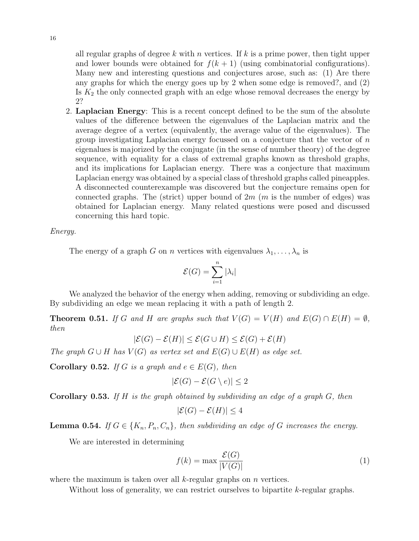all regular graphs of degree k with n vertices. If k is a prime power, then tight upper and lower bounds were obtained for  $f(k + 1)$  (using combinatorial configurations). Many new and interesting questions and conjectures arose, such as: (1) Are there any graphs for which the energy goes up by 2 when some edge is removed?, and (2) Is  $K_2$  the only connected graph with an edge whose removal decreases the energy by 2?

2. Laplacian Energy: This is a recent concept defined to be the sum of the absolute values of the difference between the eigenvalues of the Laplacian matrix and the average degree of a vertex (equivalently, the average value of the eigenvalues). The group investigating Laplacian energy focussed on a conjecture that the vector of  $n$ eigenalues is majorized by the conjugate (in the sense of number theory) of the degree sequence, with equality for a class of extremal graphs known as threshold graphs, and its implications for Laplacian energy. There was a conjecture that maximum Laplacian energy was obtained by a special class of threshold graphs called pineapples. A disconnected counterexample was discovered but the conjecture remains open for connected graphs. The (strict) upper bound of  $2m$  (m is the number of edges) was obtained for Laplacian energy. Many related questions were posed and discussed concerning this hard topic.

Energy.

The energy of a graph G on n vertices with eigenvalues  $\lambda_1, \ldots, \lambda_n$  is

$$
\mathcal{E}(G) = \sum_{i=1}^{n} |\lambda_i|
$$

We analyzed the behavior of the energy when adding, removing or subdividing an edge. By subdividing an edge we mean replacing it with a path of length 2.

**Theorem 0.51.** If G and H are graphs such that  $V(G) = V(H)$  and  $E(G) \cap E(H) = \emptyset$ , then

 $|\mathcal{E}(G) - \mathcal{E}(H)| \leq \mathcal{E}(G \cup H) \leq \mathcal{E}(G) + \mathcal{E}(H)$ 

The graph  $G \cup H$  has  $V(G)$  as vertex set and  $E(G) \cup E(H)$  as edge set.

**Corollary 0.52.** If G is a graph and  $e \in E(G)$ , then

$$
|\mathcal{E}(G) - \mathcal{E}(G \setminus e)| \le 2
$$

**Corollary 0.53.** If H is the graph obtained by subdividing an edge of a graph  $G$ , then

$$
|\mathcal{E}(G) - \mathcal{E}(H)| \le 4
$$

**Lemma 0.54.** If  $G \in \{K_n, P_n, C_n\}$ , then subdividing an edge of G increases the energy.

We are interested in determining

$$
f(k) = \max \frac{\mathcal{E}(G)}{|V(G)|} \tag{1}
$$

where the maximum is taken over all  $k$ -regular graphs on  $n$  vertices.

Without loss of generality, we can restrict ourselves to bipartite k-regular graphs.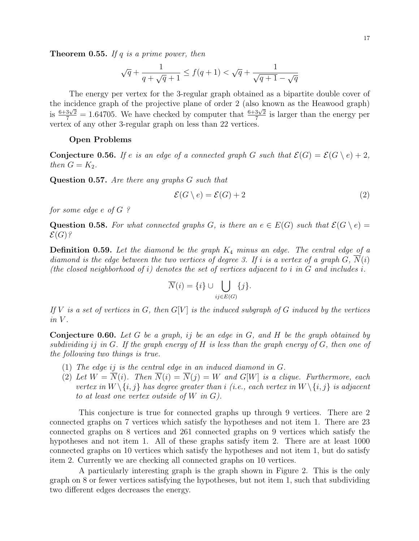**Theorem 0.55.** If q is a prime power, then

$$
\sqrt{q}+\frac{1}{q+\sqrt{q}+1}\leq f(q+1)<\sqrt{q}+\frac{1}{\sqrt{q+1}-\sqrt{q}}
$$

The energy per vertex for the 3-regular graph obtained as a bipartite double cover of the incidence graph of the projective plane of order 2 (also known as the Heawood graph) is  $\frac{6+3\sqrt{2}}{7} = 1.64705$ . We have checked by computer that  $\frac{6+3\sqrt{2}}{7}$  $\frac{3\sqrt{2}}{7}$  is larger than the energy per vertex of any other 3-regular graph on less than 22 vertices.

#### Open Problems

**Conjecture 0.56.** If e is an edge of a connected graph G such that  $\mathcal{E}(G) = \mathcal{E}(G \setminus e) + 2$ , then  $G = K_2$ .

Question 0.57. Are there any graphs G such that

$$
\mathcal{E}(G \setminus e) = \mathcal{E}(G) + 2\tag{2}
$$

for some edge e of G ?

Question 0.58. For what connected graphs G, is there an  $e \in E(G)$  such that  $\mathcal{E}(G \setminus e) =$  $\mathcal{E}(G)$ ?

**Definition 0.59.** Let the diamond be the graph  $K_4$  minus an edge. The central edge of a diamond is the edge between the two vertices of degree 3. If i is a vertex of a graph G,  $\overline{N}(i)$ (the closed neighborhood of i) denotes the set of vertices adjacent to i in  $G$  and includes i.

$$
\overline{N}(i) = \{i\} \cup \bigcup_{ij \in E(G)} \{j\}.
$$

If V is a set of vertices in G, then  $G[V]$  is the induced subgraph of G induced by the vertices  $in V$ .

**Conjecture 0.60.** Let G be a graph, if be an edge in  $G$ , and  $H$  be the graph obtained by subdividing ij in G. If the graph energy of H is less than the graph energy of G, then one of the following two things is true.

- (1) The edge ij is the central edge in an induced diamond in G.
- (2) Let  $W = \overline{N}(i)$ . Then  $\overline{N}(i) = \overline{N}(j) = W$  and  $G[W]$  is a clique. Furthermore, each vertex in  $W \setminus \{i, j\}$  has degree greater than i (i.e., each vertex in  $W \setminus \{i, j\}$  is adjacent to at least one vertex outside of  $W$  in  $G$ ).

This conjecture is true for connected graphs up through 9 vertices. There are 2 connected graphs on 7 vertices which satisfy the hypotheses and not item 1. There are 23 connected graphs on 8 vertices and 261 connected graphs on 9 vertices which satisfy the hypotheses and not item 1. All of these graphs satisfy item 2. There are at least 1000 connected graphs on 10 vertices which satisfy the hypotheses and not item 1, but do satisfy item 2. Currently we are checking all connected graphs on 10 vertices.

A particularly interesting graph is the graph shown in Figure 2. This is the only graph on 8 or fewer vertices satisfying the hypotheses, but not item 1, such that subdividing two different edges decreases the energy.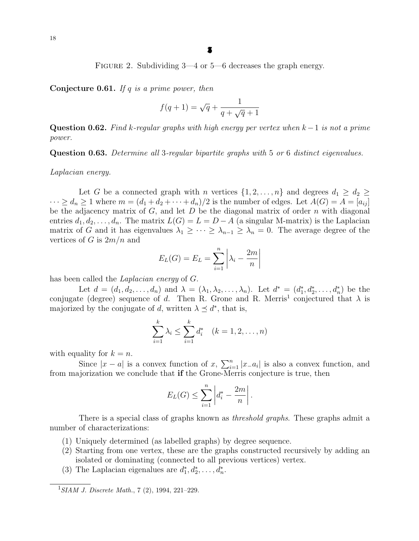FIGURE 2. Subdividing  $3-4$  or  $5-6$  decreases the graph energy.

Conjecture 0.61. If  $q$  is a prime power, then

$$
f(q+1) = \sqrt{q} + \frac{1}{q + \sqrt{q} + 1}
$$

Question 0.62. Find k-regular graphs with high energy per vertex when  $k-1$  is not a prime power.

Question 0.63. Determine all 3-regular bipartite graphs with 5 or 6 distinct eigenvalues.

Laplacian energy.

Let G be a connected graph with n vertices  $\{1, 2, ..., n\}$  and degrees  $d_1 \geq d_2 \geq$  $\cdots \ge d_n \ge 1$  where  $m = (d_1 + d_2 + \cdots + d_n)/2$  is the number of edges. Let  $A(G) = A = [a_{ij}]$ be the adjacency matrix of  $G$ , and let  $D$  be the diagonal matrix of order  $n$  with diagonal entries  $d_1, d_2, \ldots, d_n$ . The matrix  $L(G) = L = D - A$  (a singular M-matrix) is the Laplacian matrix of G and it has eigenvalues  $\lambda_1 \geq \cdots \geq \lambda_{n-1} \geq \lambda_n = 0$ . The average degree of the vertices of G is  $2m/n$  and

$$
E_L(G) = E_L = \sum_{i=1}^n \left| \lambda_i - \frac{2m}{n} \right|
$$

has been called the *Laplacian energy* of G.

Let  $d = (d_1, d_2, \ldots, d_n)$  and  $\lambda = (\lambda_1, \lambda_2, \ldots, \lambda_n)$ . Let  $d^* = (d_1^*, d_2^*, \ldots, d_n^*)$  be the conjugate (degree) sequence of d. Then R. Grone and R. Merris<sup>1</sup> conjectured that  $\lambda$  is majorized by the conjugate of d, written  $\lambda \preceq d^*$ , that is,

$$
\sum_{i=1}^{k} \lambda_i \le \sum_{i=1}^{k} d_i^* \quad (k = 1, 2, \dots, n)
$$

with equality for  $k = n$ .

Since  $|x - a|$  is a convex function of x,  $\sum_{i=1}^{n} |x_{-}a_{i}|$  is also a convex function, and from majorization we conclude that if the Grone-Merris conjecture is true, then

$$
E_L(G) \leq \sum_{i=1}^n \left| d_i^* - \frac{2m}{n} \right|.
$$

There is a special class of graphs known as *threshold graphs*. These graphs admit a number of characterizations:

- (1) Uniquely determined (as labelled graphs) by degree sequence.
- (2) Starting from one vertex, these are the graphs constructed recursively by adding an isolated or dominating (connected to all previous vertices) vertex.
- (3) The Laplacian eigenalues are  $d_1^*, d_2^*, \ldots, d_n^*$ .

 $1$ SIAM J. Discrete Math., 7 (2), 1994, 221–229.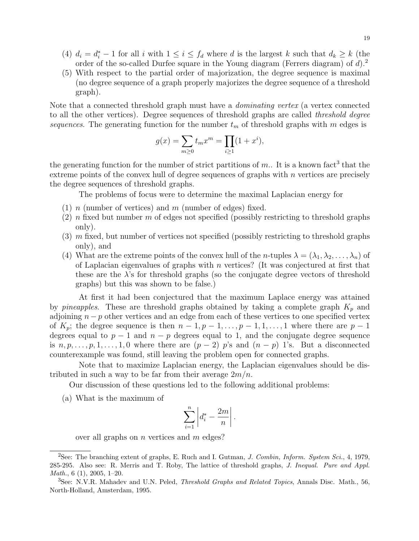- (4)  $d_i = d_i^* 1$  for all i with  $1 \leq i \leq f_d$  where d is the largest k such that  $d_k \geq k$  (the order of the so-called Durfee square in the Young diagram (Ferrers diagram) of  $d$ ).<sup>2</sup>
- (5) With respect to the partial order of majorization, the degree sequence is maximal (no degree sequence of a graph properly majorizes the degree sequence of a threshold graph).

Note that a connected threshold graph must have a dominating vertex (a vertex connected to all the other vertices). Degree sequences of threshold graphs are called threshold degree sequences. The generating function for the number  $t_m$  of threshold graphs with m edges is

$$
g(x) = \sum_{m \ge 0} t_m x^m = \prod_{i \ge 1} (1 + x^i),
$$

the generating function for the number of strict partitions of  $m$ . It is a known fact<sup>3</sup> that the extreme points of the convex hull of degree sequences of graphs with  $n$  vertices are precisely the degree sequences of threshold graphs.

The problems of focus were to determine the maximal Laplacian energy for

- (1) n (number of vertices) and m (number of edges) fixed.
- (2) n fixed but number m of edges not specified (possibly restricting to threshold graphs only).
- $(3)$  m fixed, but number of vertices not specified (possibly restricting to threshold graphs only), and
- (4) What are the extreme points of the convex hull of the *n*-tuples  $\lambda = (\lambda_1, \lambda_2, \ldots, \lambda_n)$  of of Laplacian eigenvalues of graphs with  $n$  vertices? (It was conjectured at first that these are the  $\lambda$ 's for threshold graphs (so the conjugate degree vectors of threshold graphs) but this was shown to be false.)

At first it had been conjectured that the maximum Laplace energy was attained by pineapples. These are threshold graphs obtained by taking a complete graph  $K_p$  and adjoining  $n - p$  other vertices and an edge from each of these vertices to one specified vertex of  $K_p$ ; the degree sequence is then  $n-1, p-1, \ldots, p-1, 1, \ldots, 1$  where there are  $p-1$ degrees equal to  $p-1$  and  $n-p$  degrees equal to 1, and the conjugate degree sequence is  $n, p, \ldots, p, 1, \ldots, 1, 0$  where there are  $(p-2)$  p's and  $(n-p)$  1's. But a disconnected counterexample was found, still leaving the problem open for connected graphs.

Note that to maximize Laplacian energy, the Laplacian eigenvalues should be distributed in such a way to be far from their average  $2m/n$ .

Our discussion of these questions led to the following additional problems:

(a) What is the maximum of

$$
\sum_{i=1}^n \left| d_i^* - \frac{2m}{n} \right|.
$$

over all graphs on  $n$  vertices and  $m$  edges?

<sup>&</sup>lt;sup>2</sup>See: The branching extent of graphs, E. Ruch and I. Gutman, *J. Combin, Inform. System Sci.*, 4, 1979, 285-295. Also see: R. Merris and T. Roby, The lattice of threshold graphs, J. Inequal. Pure and Appl. Math., 6 (1), 2005, 1–20.

<sup>&</sup>lt;sup>3</sup>See: N.V.R. Mahadev and U.N. Peled, *Threshold Graphs and Related Topics*, Annals Disc. Math., 56, North-Holland, Amsterdam, 1995.